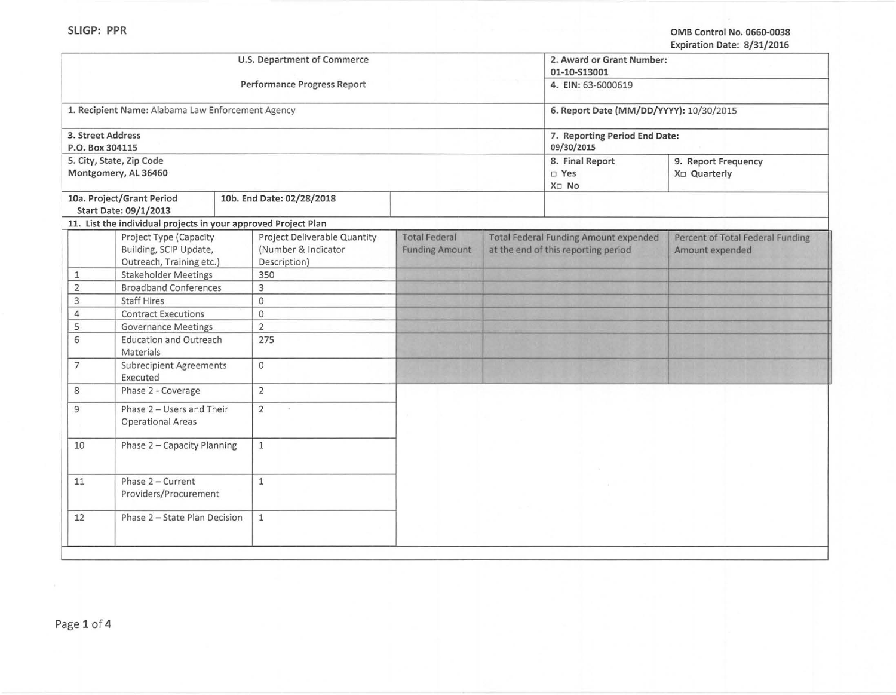|                                                   |                                                                | U.S. Department of Commerce         |                       |                                     | 2. Award or Grant Number:                    | LADITURI DUC. 0731/LULU          |  |
|---------------------------------------------------|----------------------------------------------------------------|-------------------------------------|-----------------------|-------------------------------------|----------------------------------------------|----------------------------------|--|
|                                                   |                                                                |                                     |                       |                                     | 01-10-S13001                                 |                                  |  |
| Performance Progress Report                       |                                                                |                                     |                       |                                     | 4. EIN: 63-6000619                           |                                  |  |
|                                                   |                                                                |                                     |                       |                                     |                                              |                                  |  |
| 1. Recipient Name: Alabama Law Enforcement Agency |                                                                |                                     |                       |                                     | 6. Report Date (MM/DD/YYYY): 10/30/2015      |                                  |  |
| 3. Street Address<br>P.O. Box 304115              |                                                                |                                     |                       |                                     | 7. Reporting Period End Date:<br>09/30/2015  |                                  |  |
|                                                   | 5. City, State, Zip Code                                       |                                     |                       |                                     | 8. Final Report                              | 9. Report Frequency              |  |
|                                                   | Montgomery, AL 36460                                           |                                     |                       |                                     | □ Yes<br>X <sub>D</sub> No                   | X <sub>□</sub> Quarterly         |  |
|                                                   | 10a. Project/Grant Period<br>Start Date: 09/1/2013             | 10b. End Date: 02/28/2018           |                       |                                     |                                              |                                  |  |
|                                                   | 11. List the individual projects in your approved Project Plan |                                     |                       |                                     |                                              |                                  |  |
|                                                   | Project Type (Capacity                                         | Project Deliverable Quantity        | <b>Total Federal</b>  |                                     | <b>Total Federal Funding Amount expended</b> | Percent of Total Federal Funding |  |
|                                                   | Building, SCIP Update,<br>Outreach, Training etc.)             | (Number & Indicator<br>Description) | <b>Funding Amount</b> | at the end of this reporting period |                                              | Amount expended                  |  |
| $\mathbf{1}$                                      | <b>Stakeholder Meetings</b>                                    | 350                                 |                       |                                     |                                              |                                  |  |
| $\overline{2}$                                    | <b>Broadband Conferences</b>                                   | 3                                   |                       |                                     |                                              |                                  |  |
| $\overline{3}$                                    | <b>Staff Hires</b>                                             | $\mathbf{0}$                        |                       |                                     |                                              |                                  |  |
| $\overline{4}$                                    | <b>Contract Executions</b>                                     | $\circ$                             |                       |                                     |                                              |                                  |  |
| 5                                                 | <b>Governance Meetings</b>                                     | $\overline{2}$                      |                       |                                     |                                              |                                  |  |
| 6                                                 | <b>Education and Outreach</b><br>Materials                     | 275                                 |                       |                                     |                                              |                                  |  |
| $7\overline{ }$                                   | <b>Subrecipient Agreements</b><br>Executed                     | $\circ$                             |                       |                                     |                                              |                                  |  |
| 8                                                 | Phase 2 - Coverage                                             | $\overline{2}$                      |                       |                                     |                                              |                                  |  |
| $\overline{9}$                                    | Phase 2 - Users and Their<br><b>Operational Areas</b>          | 2                                   |                       |                                     |                                              |                                  |  |
| 10<br>Phase 2 - Capacity Planning                 |                                                                | $\mathbf{1}$                        |                       |                                     |                                              |                                  |  |
| 11                                                | Phase 2 - Current<br>Providers/Procurement                     | $1\,$                               |                       |                                     |                                              |                                  |  |
| 12                                                | Phase 2 - State Plan Decision                                  | $\mathbf{1}$                        |                       |                                     |                                              |                                  |  |
|                                                   |                                                                |                                     |                       |                                     |                                              |                                  |  |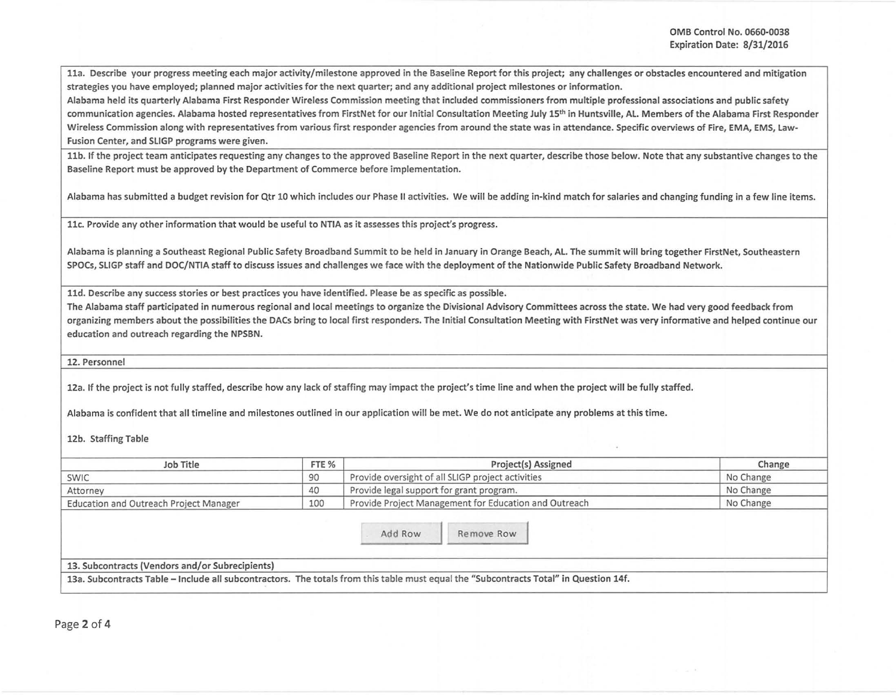lla. Describe your progress meeting each major activity/milestone approved in the Baseline Report for this project; any challenges or obstacles encountered and mitigation strategies you have employed; planned major activities for the next quarter; and any additional project milestones or information.

Alabama held its quarterly Alabama First Responder Wireless Commission meeting that included commissioners from multiple professional associations and public safety communication agencies. Alabama hosted representatives from FirstNet for our Initial Consultation Meeting July 15<sup>th</sup> in Huntsville, AL. Members of the Alabama First Responder Wireless Commission along with representatives from various first responder agencies from around the state was in attendance. Specific overviews of Fire, EMA, EMS, Law-Fusion Center, and SLIGP programs were given.

11b. If the project team anticipates requesting any changes to the approved Baseline Report in the next quarter, describe those below. Note that any substantive changes to the Baseline Report must be approved by the Department of Commerce before implementation.

Alabama has submitted a budget revision for Qtr 10 which includes our Phase II activities. We will be adding in-kind match for salaries and changing funding in a few line items.

llc. Provide any other information that would be useful to NTIA as it assesses this project's progress.

Alabama is planning a Southeast Regional Public Safety Broadband Summit to be held in January in Orange Beach, Al. The summit will bring together FirstNet, Southeastern SPOCs, SLIGP staff and DOC/NTIA staff to discuss issues and challenges we face w ith the deployment of the Nationwide Public Safety Broadband Network.

11d. Describe any success stories or best practices you have identified. Please be as specific as possible.

The Alabama staff participated in numerous regional and local meetings to organize the Divisional Advisory Committees across the state. We had very good feedback from organizing members about the possibilities the DACs bring to local first responders. The Initial Consultation Meeting with FirstNet was very informative and helped continue our education and outreach regarding the NPSBN.

12. Personnel

12a. If the project is not fully staffed, describe how any lack of staffing may impact the project's time line and when the project will be fully staffed.

Alabama is confident that all timeline and milestones outlined in our application will be met. We do not anticipate any problems at this time.

12b. Staffing Table

| Job Title                              | FTE % | Project(s) Assigned                                   | Change    |
|----------------------------------------|-------|-------------------------------------------------------|-----------|
| SWIC                                   | 90    | Provide oversight of all SLIGP project activities     | No Change |
| Attorney                               | 40    | Provide legal support for grant program.              | No Change |
| Education and Outreach Project Manager | 100   | Provide Project Management for Education and Outreach | No Change |
|                                        |       |                                                       |           |
|                                        |       | Add Row<br>Remove Row                                 |           |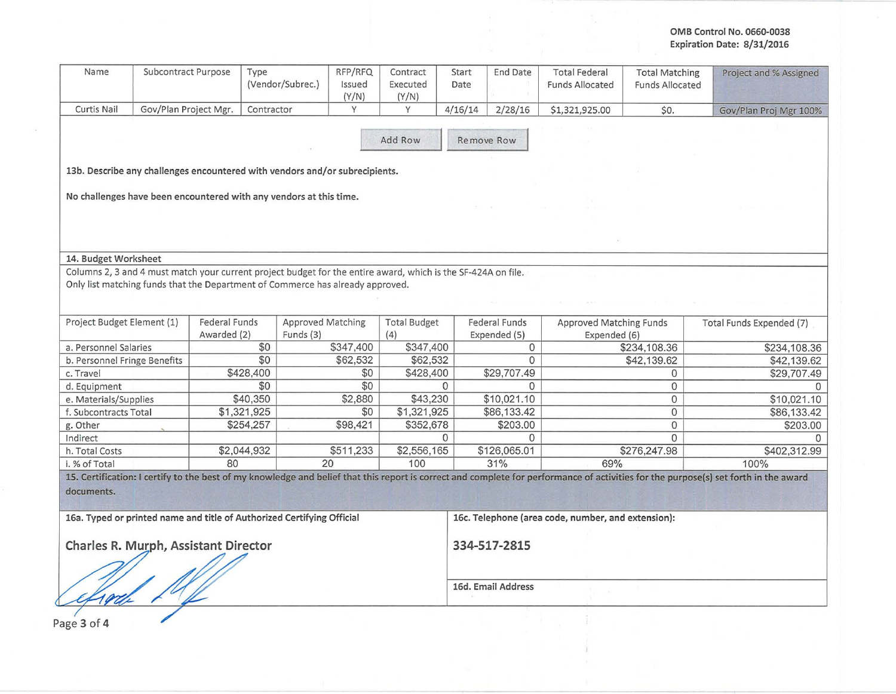## OMB Control No. 0660-0038 Expiration Date: 8/31/2016

| Name                                                                                                           | Subcontract Purpose   |                                     | Type<br>(Vendor/Subrec.)                                           | RFP/RFQ<br>Issued<br>(Y/N)                                                                                                                                                                      | Contract<br>Executed<br>(Y/N)                                      | Start<br>Date | End Date                      | <b>Total Federal</b><br><b>Funds Allocated</b> | <b>Total Matching</b><br><b>Funds Allocated</b> | Project and % Assigned                                                                                                                                                               |
|----------------------------------------------------------------------------------------------------------------|-----------------------|-------------------------------------|--------------------------------------------------------------------|-------------------------------------------------------------------------------------------------------------------------------------------------------------------------------------------------|--------------------------------------------------------------------|---------------|-------------------------------|------------------------------------------------|-------------------------------------------------|--------------------------------------------------------------------------------------------------------------------------------------------------------------------------------------|
| Curtis Nail                                                                                                    | Gov/Plan Project Mgr. |                                     | Contractor                                                         | Y                                                                                                                                                                                               | Y                                                                  | 4/16/14       | 2/28/16                       | \$1,321,925.00                                 | \$0.                                            | Gov/Plan Proj Mgr 100%                                                                                                                                                               |
|                                                                                                                |                       |                                     |                                                                    |                                                                                                                                                                                                 | Add Row                                                            |               | Remove Row                    |                                                |                                                 |                                                                                                                                                                                      |
|                                                                                                                |                       |                                     |                                                                    | 13b. Describe any challenges encountered with vendors and/or subrecipients.                                                                                                                     |                                                                    |               |                               |                                                |                                                 |                                                                                                                                                                                      |
|                                                                                                                |                       |                                     | No challenges have been encountered with any vendors at this time. |                                                                                                                                                                                                 |                                                                    |               |                               |                                                |                                                 |                                                                                                                                                                                      |
| 14. Budget Worksheet                                                                                           |                       |                                     |                                                                    |                                                                                                                                                                                                 |                                                                    |               |                               |                                                |                                                 |                                                                                                                                                                                      |
|                                                                                                                |                       |                                     |                                                                    | Columns 2, 3 and 4 must match your current project budget for the entire award, which is the SF-424A on file.<br>Only list matching funds that the Department of Commerce has already approved. |                                                                    |               |                               |                                                |                                                 |                                                                                                                                                                                      |
| Project Budget Element (1)                                                                                     |                       | <b>Federal Funds</b><br>Awarded (2) | Funds (3)                                                          | <b>Approved Matching</b>                                                                                                                                                                        | <b>Total Budget</b><br>(4)                                         |               | Federal Funds<br>Expended (5) | Approved Matching Funds<br>Expended (6)        |                                                 | Total Funds Expended (7)                                                                                                                                                             |
| a. Personnel Salaries                                                                                          |                       |                                     | \$0                                                                | \$347,400                                                                                                                                                                                       | \$347,400                                                          |               | 0                             |                                                | \$234,108.36                                    | \$234,108.36                                                                                                                                                                         |
| b. Personnel Fringe Benefits                                                                                   |                       |                                     | \$0                                                                | \$62,532                                                                                                                                                                                        | \$62,532                                                           |               | $\Omega$                      |                                                | \$42,139.62                                     | \$42,139.62                                                                                                                                                                          |
| c. Travel                                                                                                      |                       |                                     | \$428,400                                                          | \$0                                                                                                                                                                                             | \$428,400                                                          |               | \$29,707.49                   |                                                | $\mathbf{0}$                                    | \$29,707.49                                                                                                                                                                          |
| d. Equipment                                                                                                   |                       |                                     | \$0                                                                | \$0                                                                                                                                                                                             |                                                                    | $\Omega$      | $\Omega$                      |                                                | $\Omega$                                        | <sup>0</sup>                                                                                                                                                                         |
| e. Materials/Supplies                                                                                          |                       |                                     | \$40,350                                                           | \$2,880                                                                                                                                                                                         | \$43,230                                                           |               | \$10,021.10                   |                                                | $\mathbf{0}$                                    | \$10,021.10                                                                                                                                                                          |
| f. Subcontracts Total                                                                                          |                       |                                     | \$1,321,925                                                        | \$0                                                                                                                                                                                             | \$1,321,925                                                        |               | \$86,133.42                   |                                                | $\mathbf{0}$                                    | \$86,133.42                                                                                                                                                                          |
| g. Other                                                                                                       |                       |                                     | \$254,257                                                          | \$98,421                                                                                                                                                                                        | \$352,678                                                          |               | \$203.00                      |                                                | $\Omega$                                        | \$203.00                                                                                                                                                                             |
| Indirect                                                                                                       |                       |                                     |                                                                    |                                                                                                                                                                                                 |                                                                    | <sup>o</sup>  | $\Omega$                      |                                                | $\Omega$                                        |                                                                                                                                                                                      |
| h. Total Costs                                                                                                 |                       |                                     | \$2,044,932                                                        | \$511,233                                                                                                                                                                                       | \$2,556,165                                                        |               | \$126,065.01                  |                                                | \$276,247.98                                    | \$402,312.99                                                                                                                                                                         |
| i. % of Total                                                                                                  |                       | 80                                  |                                                                    | 20                                                                                                                                                                                              | 100                                                                |               | 31%                           | 69%                                            |                                                 | 100%                                                                                                                                                                                 |
| documents.                                                                                                     |                       |                                     |                                                                    |                                                                                                                                                                                                 |                                                                    |               |                               |                                                |                                                 | 15. Certification: I certify to the best of my knowledge and belief that this report is correct and complete for performance of activities for the purpose(s) set forth in the award |
| 16a. Typed or printed name and title of Authorized Certifying Official<br>Charles R. Murph, Assistant Director |                       |                                     |                                                                    |                                                                                                                                                                                                 | 16c. Telephone (area code, number, and extension):<br>334-517-2815 |               |                               |                                                |                                                 |                                                                                                                                                                                      |
|                                                                                                                |                       |                                     |                                                                    |                                                                                                                                                                                                 |                                                                    |               |                               |                                                |                                                 |                                                                                                                                                                                      |
|                                                                                                                |                       |                                     |                                                                    |                                                                                                                                                                                                 | 16d. Email Address                                                 |               |                               |                                                |                                                 |                                                                                                                                                                                      |

Page 3 of 4